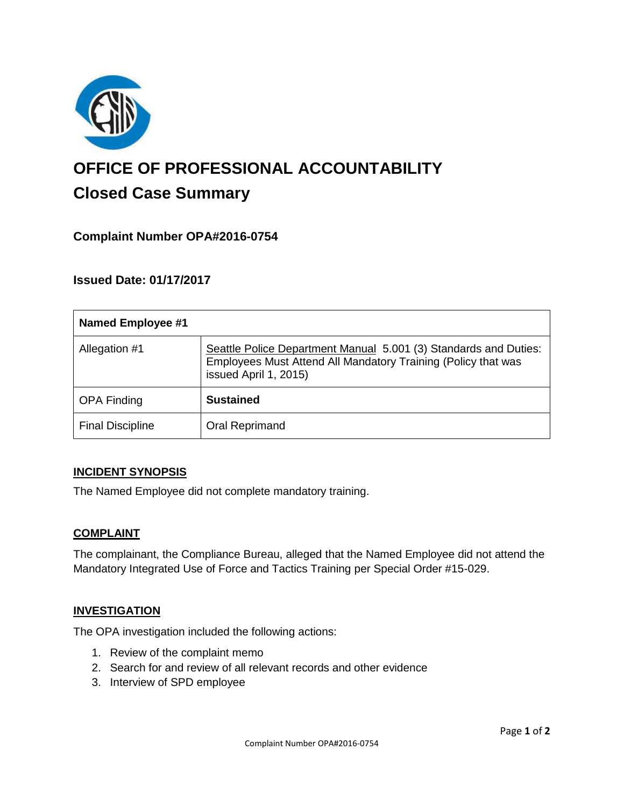

# **OFFICE OF PROFESSIONAL ACCOUNTABILITY Closed Case Summary**

## **Complaint Number OPA#2016-0754**

## **Issued Date: 01/17/2017**

| <b>Named Employee #1</b> |                                                                                                                                                            |
|--------------------------|------------------------------------------------------------------------------------------------------------------------------------------------------------|
| Allegation #1            | Seattle Police Department Manual 5.001 (3) Standards and Duties:<br>Employees Must Attend All Mandatory Training (Policy that was<br>issued April 1, 2015) |
| <b>OPA Finding</b>       | <b>Sustained</b>                                                                                                                                           |
| <b>Final Discipline</b>  | Oral Reprimand                                                                                                                                             |

### **INCIDENT SYNOPSIS**

The Named Employee did not complete mandatory training.

### **COMPLAINT**

The complainant, the Compliance Bureau, alleged that the Named Employee did not attend the Mandatory Integrated Use of Force and Tactics Training per Special Order #15-029.

### **INVESTIGATION**

The OPA investigation included the following actions:

- 1. Review of the complaint memo
- 2. Search for and review of all relevant records and other evidence
- 3. Interview of SPD employee